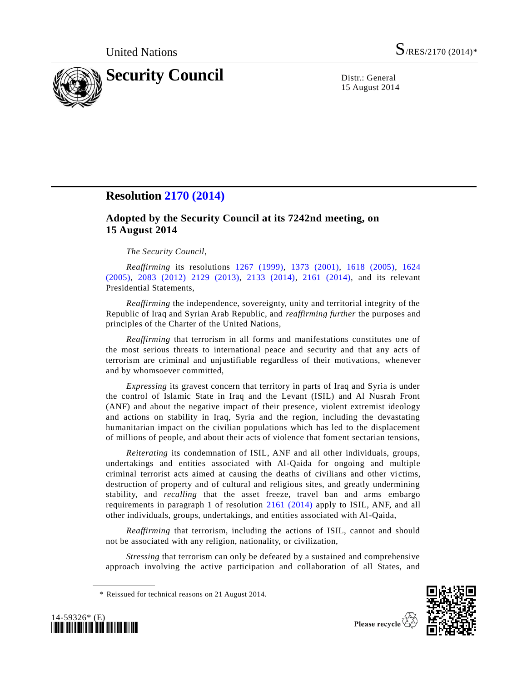

15 August 2014

# **Resolution [2170 \(2014\)](http://undocs.org/S/RES/2170(2014))**

## **Adopted by the Security Council at its 7242nd meeting, on 15 August 2014**

## *The Security Council*,

*Reaffirming* its resolutions [1267 \(1999\),](http://undocs.org/S/RES/1267(1999)) [1373 \(2001\),](http://undocs.org/S/RES/1373(2001)) [1618 \(2005\),](http://undocs.org/S/RES/1618(2005)) [1624](http://undocs.org/S/RES/1624(2005))  [\(2005\),](http://undocs.org/S/RES/1624(2005)) [2083 \(2012\)](http://undocs.org/S/RES/2083(2012)) [2129 \(2013\),](http://undocs.org/S/RES/2129(2013)) [2133 \(2014\),](http://undocs.org/S/RES/2133(2014)) [2161 \(2014\),](http://undocs.org/S/RES/2161(2014)) and its relevant Presidential Statements,

*Reaffirming* the independence, sovereignty, unity and territorial integrity of the Republic of Iraq and Syrian Arab Republic, and *reaffirming further* the purposes and principles of the Charter of the United Nations,

*Reaffirming* that terrorism in all forms and manifestations constitutes one of the most serious threats to international peace and security and that any acts of terrorism are criminal and unjustifiable regardless of their motivations, whenever and by whomsoever committed,

*Expressing* its gravest concern that territory in parts of Iraq and Syria is under the control of Islamic State in Iraq and the Levant (ISIL) and Al Nusrah Front (ANF) and about the negative impact of their presence, violent extremist ideology and actions on stability in Iraq, Syria and the region, including the devastating humanitarian impact on the civilian populations which has led to the displacement of millions of people, and about their acts of violence that foment sectarian tensions,

*Reiterating* its condemnation of ISIL, ANF and all other individuals, groups, undertakings and entities associated with Al-Qaida for ongoing and multiple criminal terrorist acts aimed at causing the deaths of civilians and other victims, destruction of property and of cultural and religious sites, and greatly undermining stability, and *recalling* that the asset freeze, travel ban and arms embargo requirements in paragraph 1 of resolution [2161 \(2014\)](http://undocs.org/S/RES/2161(2014)) apply to ISIL, ANF, and all other individuals, groups, undertakings, and entities associated with Al-Qaida,

*Reaffirming* that terrorism, including the actions of ISIL, cannot and should not be associated with any religion, nationality, or civilization,

*Stressing* that terrorism can only be defeated by a sustained and comprehensive approach involving the active participation and collaboration of all States, and





<sup>\*</sup> Reissued for technical reasons on 21 August 2014.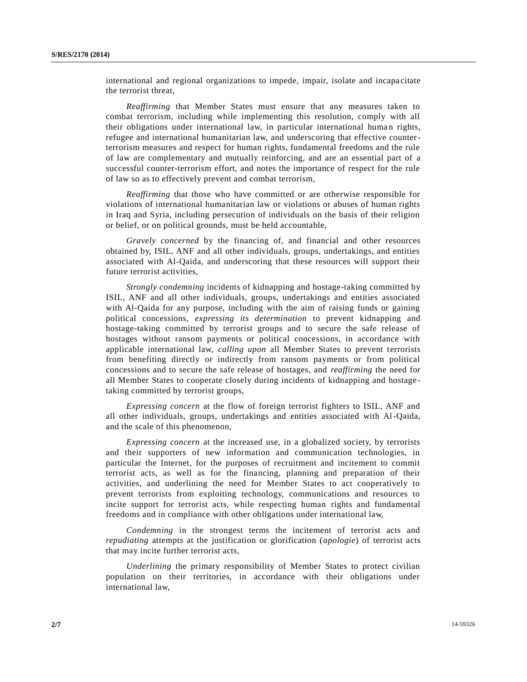international and regional organizations to impede, impair, isolate and incapa citate the terrorist threat,

*Reaffirming* that Member States must ensure that any measures taken to combat terrorism, including while implementing this resolution, comply with all their obligations under international law, in particular international human rights, refugee and international humanitarian law, and underscoring that effective counterterrorism measures and respect for human rights, fundamental freedoms and the rule of law are complementary and mutually reinforcing, and are an essential part of a successful counter-terrorism effort, and notes the importance of respect for the rule of law so as to effectively prevent and combat terrorism,

*Reaffirming* that those who have committed or are otherwise responsible for violations of international humanitarian law or violations or abuses of human rights in Iraq and Syria, including persecution of individuals on the basis of their religion or belief, or on political grounds, must be held accountable,

*Gravely concerned* by the financing of, and financial and other resources obtained by, ISIL, ANF and all other individuals, groups, undertakings, and entities associated with Al-Qaida, and underscoring that these resources will support their future terrorist activities,

*Strongly condemning* incidents of kidnapping and hostage-taking committed by ISIL, ANF and all other individuals, groups, undertakings and entities associated with Al-Qaida for any purpose, including with the aim of raising funds or gaining political concessions, *expressing its determination* to prevent kidnapping and hostage-taking committed by terrorist groups and to secure the safe release of hostages without ransom payments or political concessions, in accordance with applicable international law, *calling upon* all Member States to prevent terrorists from benefiting directly or indirectly from ransom payments or from political concessions and to secure the safe release of hostages, and *reaffirming* the need for all Member States to cooperate closely during incidents of kidnapping and hostage taking committed by terrorist groups,

*Expressing concern* at the flow of foreign terrorist fighters to ISIL, ANF and all other individuals, groups, undertakings and entities associated with Al-Qaida, and the scale of this phenomenon,

*Expressing concern* at the increased use, in a globalized society, by terrorists and their supporters of new information and communication technologies, in particular the Internet, for the purposes of recruitment and incitement to commit terrorist acts, as well as for the financing, planning and preparation of their activities, and underlining the need for Member States to act cooperatively to prevent terrorists from exploiting technology, communications and resources to incite support for terrorist acts, while respecting human rights and fundamental freedoms and in compliance with other obligations under international law,

*Condemning* in the strongest terms the incitement of terrorist acts and *repudiating* attempts at the justification or glorification (*apologie*) of terrorist acts that may incite further terrorist acts,

*Underlining* the primary responsibility of Member States to protect civilian population on their territories, in accordance with their obligations under international law,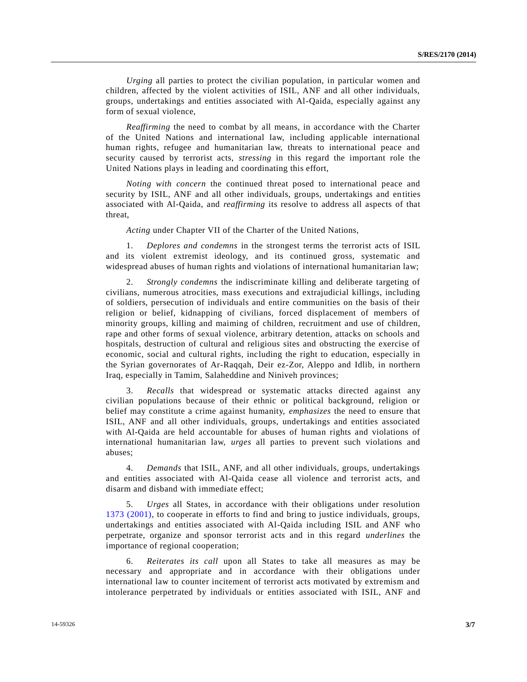*Urging* all parties to protect the civilian population, in particular women and children, affected by the violent activities of ISIL, ANF and all other individuals, groups, undertakings and entities associated with Al-Qaida, especially against any form of sexual violence,

*Reaffirming* the need to combat by all means, in accordance with the Charter of the United Nations and international law, including applicable international human rights, refugee and humanitarian law, threats to international peace and security caused by terrorist acts, *stressing* in this regard the important role the United Nations plays in leading and coordinating this effort,

*Noting with concern* the continued threat posed to international peace and security by ISIL, ANF and all other individuals, groups, undertakings and entities associated with Al-Qaida, and *reaffirming* its resolve to address all aspects of that threat,

*Acting* under Chapter VII of the Charter of the United Nations,

1. *Deplores and condemns* in the strongest terms the terrorist acts of ISIL and its violent extremist ideology, and its continued gross, systematic and widespread abuses of human rights and violations of international humanitarian law;

2. *Strongly condemns* the indiscriminate killing and deliberate targeting of civilians, numerous atrocities, mass executions and extrajudicial killings, including of soldiers, persecution of individuals and entire communities on the basis of their religion or belief, kidnapping of civilians, forced displacement of members of minority groups, killing and maiming of children, recruitment and use of children, rape and other forms of sexual violence, arbitrary detention, attacks on schools and hospitals, destruction of cultural and religious sites and obstructing the exercise of economic, social and cultural rights, including the right to education, especially in the Syrian governorates of Ar-Raqqah, Deir ez-Zor, Aleppo and Idlib, in northern Iraq, especially in Tamim, Salaheddine and Niniveh provinces;

3. *Recalls* that widespread or systematic attacks directed against any civilian populations because of their ethnic or political background, religion or belief may constitute a crime against humanity, *emphasizes* the need to ensure that ISIL, ANF and all other individuals, groups, undertakings and entities associated with Al-Qaida are held accountable for abuses of human rights and violations of international humanitarian law, *urges* all parties to prevent such violations and abuses;

4. *Demands* that ISIL, ANF, and all other individuals, groups, undertakings and entities associated with Al-Qaida cease all violence and terrorist acts, and disarm and disband with immediate effect;

5. *Urges* all States, in accordance with their obligations under resolution [1373 \(2001\),](http://undocs.org/S/RES/1373(2001)) to cooperate in efforts to find and bring to justice individuals, groups, undertakings and entities associated with Al-Qaida including ISIL and ANF who perpetrate, organize and sponsor terrorist acts and in this regard *underlines* the importance of regional cooperation;

6. *Reiterates its call* upon all States to take all measures as may be necessary and appropriate and in accordance with their obligations under international law to counter incitement of terrorist acts motivated by extremism and intolerance perpetrated by individuals or entities associated with ISIL, ANF and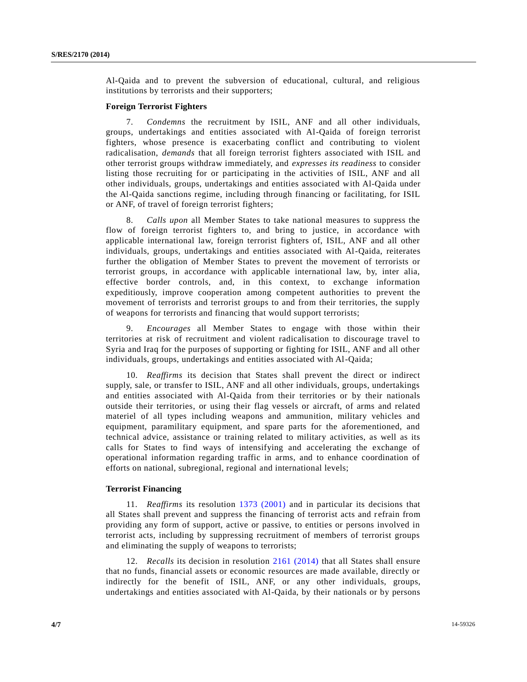Al-Qaida and to prevent the subversion of educational, cultural, and religious institutions by terrorists and their supporters;

#### **Foreign Terrorist Fighters**

7. *Condemns* the recruitment by ISIL, ANF and all other individuals, groups, undertakings and entities associated with Al-Qaida of foreign terrorist fighters, whose presence is exacerbating conflict and contributing to violent radicalisation, *demands* that all foreign terrorist fighters associated with ISIL and other terrorist groups withdraw immediately, and *expresses its readiness* to consider listing those recruiting for or participating in the activities of ISIL, ANF and all other individuals, groups, undertakings and entities associated with Al-Qaida under the Al-Qaida sanctions regime, including through financing or facilitating, for ISIL or ANF, of travel of foreign terrorist fighters;

8. *Calls upon* all Member States to take national measures to suppress the flow of foreign terrorist fighters to, and bring to justice, in accordance with applicable international law, foreign terrorist fighters of, ISIL, ANF and all other individuals, groups, undertakings and entities associated with Al-Qaida, reiterates further the obligation of Member States to prevent the movement of terrorists or terrorist groups, in accordance with applicable international law, by, inter alia, effective border controls, and, in this context, to exchange information expeditiously, improve cooperation among competent authorities to prevent the movement of terrorists and terrorist groups to and from their territories, the supply of weapons for terrorists and financing that would support terrorists;

9. *Encourages* all Member States to engage with those within their territories at risk of recruitment and violent radicalisation to discourage travel to Syria and Iraq for the purposes of supporting or fighting for ISIL, ANF and all other individuals, groups, undertakings and entities associated with Al-Qaida;

10. *Reaffirms* its decision that States shall prevent the direct or indirect supply, sale, or transfer to ISIL, ANF and all other individuals, groups, undertakings and entities associated with Al-Qaida from their territories or by their nationals outside their territories, or using their flag vessels or aircraft, of arms and related materiel of all types including weapons and ammunition, military vehicles and equipment, paramilitary equipment, and spare parts for the aforementioned, and technical advice, assistance or training related to military activities, as well as its calls for States to find ways of intensifying and accelerating the exchange of operational information regarding traffic in arms, and to enhance coordination of efforts on national, subregional, regional and international levels;

#### **Terrorist Financing**

11. *Reaffirms* its resolution [1373 \(2001\)](http://undocs.org/S/RES/1373(2001)) and in particular its decisions that all States shall prevent and suppress the financing of terrorist acts and r efrain from providing any form of support, active or passive, to entities or persons involved in terrorist acts, including by suppressing recruitment of members of terrorist groups and eliminating the supply of weapons to terrorists;

12. *Recalls* its decision in resolution [2161 \(2014\)](http://undocs.org/S/RES/2161(2014)) that all States shall ensure that no funds, financial assets or economic resources are made available, directly or indirectly for the benefit of ISIL, ANF, or any other individuals, groups, undertakings and entities associated with Al-Qaida, by their nationals or by persons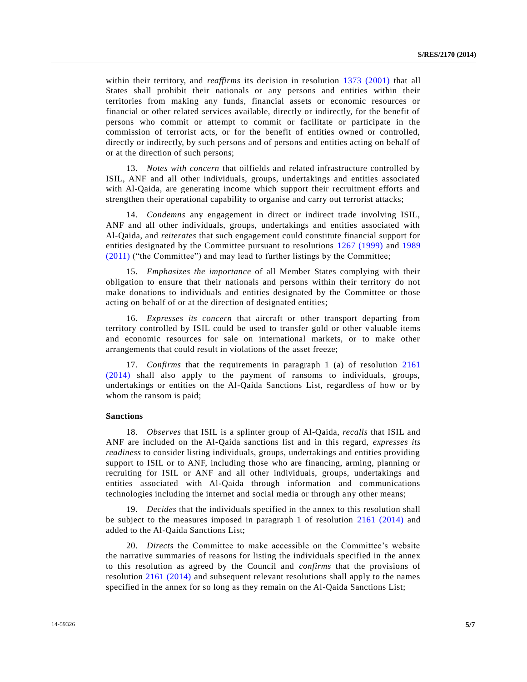within their territory, and *reaffirms* its decision in resolution [1373 \(2001\)](http://undocs.org/S/RES/1373(2001)) that all States shall prohibit their nationals or any persons and entities within their territories from making any funds, financial assets or economic resources or financial or other related services available, directly or indirectly, for the benefit of persons who commit or attempt to commit or facilitate or participate in the commission of terrorist acts, or for the benefit of entities owned or controlled, directly or indirectly, by such persons and of persons and entities acting on behalf of or at the direction of such persons;

13. *Notes with concern* that oilfields and related infrastructure controlled by ISIL, ANF and all other individuals, groups, undertakings and entities associated with Al-Qaida, are generating income which support their recruitment efforts and strengthen their operational capability to organise and carry out terrorist attacks;

14. *Condemns* any engagement in direct or indirect trade involving ISIL, ANF and all other individuals, groups, undertakings and entities associated with Al-Qaida, and *reiterates* that such engagement could constitute financial support for entities designated by the Committee pursuant to resolutions [1267 \(1999\)](http://undocs.org/S/RES/1267(1999)) and [1989](http://undocs.org/S/RES/1989(2011))  [\(2011\)](http://undocs.org/S/RES/1989(2011)) ("the Committee") and may lead to further listings by the Committee;

15. *Emphasizes the importance* of all Member States complying with their obligation to ensure that their nationals and persons within their territory do not make donations to individuals and entities designated by the Committee or those acting on behalf of or at the direction of designated entities;

16. *Expresses its concern* that aircraft or other transport departing from territory controlled by ISIL could be used to transfer gold or other valuable items and economic resources for sale on international markets, or to make other arrangements that could result in violations of the asset freeze;

17. *Confirms* that the requirements in paragraph 1 (a) of resolution [2161](http://undocs.org/S/RES/2161(2014))  [\(2014\)](http://undocs.org/S/RES/2161(2014)) shall also apply to the payment of ransoms to individuals, groups, undertakings or entities on the Al-Qaida Sanctions List, regardless of how or by whom the ransom is paid;

#### **Sanctions**

18. *Observes* that ISIL is a splinter group of Al-Qaida, *recalls* that ISIL and ANF are included on the Al-Qaida sanctions list and in this regard, *expresses its readiness* to consider listing individuals, groups, undertakings and entities providing support to ISIL or to ANF, including those who are financing, arming, planning or recruiting for ISIL or ANF and all other individuals, groups, undertakings and entities associated with Al-Qaida through information and communications technologies including the internet and social media or through any other means;

19. *Decides* that the individuals specified in the annex to this resolution shall be subject to the measures imposed in paragraph 1 of resolution [2161 \(2014\)](http://undocs.org/S/RES/2161(2014)) and added to the Al-Qaida Sanctions List;

20. *Directs* the Committee to make accessible on the Committee's website the narrative summaries of reasons for listing the individuals specified in the annex to this resolution as agreed by the Council and *confirms* that the provisions of resolution [2161 \(2014\)](http://undocs.org/S/RES/2161(2014)) and subsequent relevant resolutions shall apply to the names specified in the annex for so long as they remain on the Al-Qaida Sanctions List;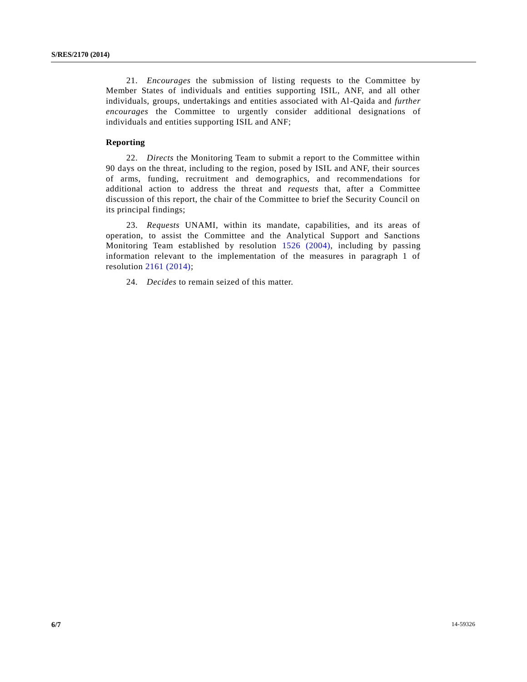21. *Encourages* the submission of listing requests to the Committee by Member States of individuals and entities supporting ISIL, ANF, and all other individuals, groups, undertakings and entities associated with Al-Qaida and *further encourages* the Committee to urgently consider additional designations of individuals and entities supporting ISIL and ANF;

## **Reporting**

22. *Directs* the Monitoring Team to submit a report to the Committee within 90 days on the threat, including to the region, posed by ISIL and ANF, their sources of arms, funding, recruitment and demographics, and recommendations for additional action to address the threat and *requests* that, after a Committee discussion of this report, the chair of the Committee to brief the Security Council on its principal findings;

23. *Requests* UNAMI, within its mandate, capabilities, and its areas of operation, to assist the Committee and the Analytical Support and Sanctions Monitoring Team established by resolution [1526 \(2004\),](http://undocs.org/S/RES/1526(2004)) including by passing information relevant to the implementation of the measures in paragraph 1 of resolution [2161 \(2014\);](http://undocs.org/S/RES/2161(2014))

24. *Decides* to remain seized of this matter.